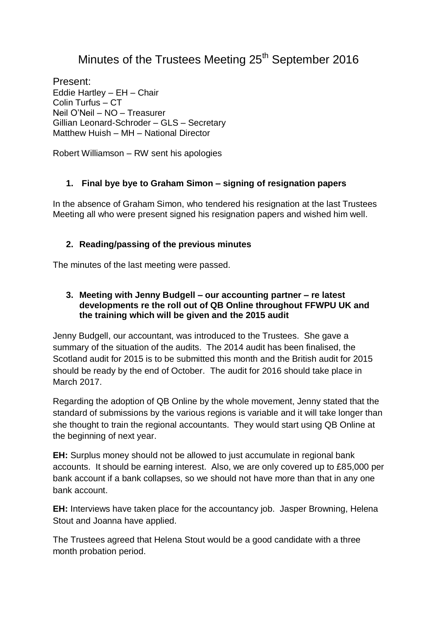# Minutes of the Trustees Meeting 25<sup>th</sup> September 2016

Present: Eddie Hartley – EH – Chair Colin Turfus – CT Neil O'Neil – NO – Treasurer Gillian Leonard-Schroder – GLS – Secretary Matthew Huish – MH – National Director

Robert Williamson – RW sent his apologies

#### **1. Final bye bye to Graham Simon – signing of resignation papers**

In the absence of Graham Simon, who tendered his resignation at the last Trustees Meeting all who were present signed his resignation papers and wished him well.

### **2. Reading/passing of the previous minutes**

The minutes of the last meeting were passed.

#### **3. Meeting with Jenny Budgell – our accounting partner – re latest developments re the roll out of QB Online throughout FFWPU UK and the training which will be given and the 2015 audit**

Jenny Budgell, our accountant, was introduced to the Trustees. She gave a summary of the situation of the audits. The 2014 audit has been finalised, the Scotland audit for 2015 is to be submitted this month and the British audit for 2015 should be ready by the end of October. The audit for 2016 should take place in March 2017.

Regarding the adoption of QB Online by the whole movement, Jenny stated that the standard of submissions by the various regions is variable and it will take longer than she thought to train the regional accountants. They would start using QB Online at the beginning of next year.

**EH:** Surplus money should not be allowed to just accumulate in regional bank accounts. It should be earning interest. Also, we are only covered up to £85,000 per bank account if a bank collapses, so we should not have more than that in any one bank account.

**EH:** Interviews have taken place for the accountancy job. Jasper Browning, Helena Stout and Joanna have applied.

The Trustees agreed that Helena Stout would be a good candidate with a three month probation period.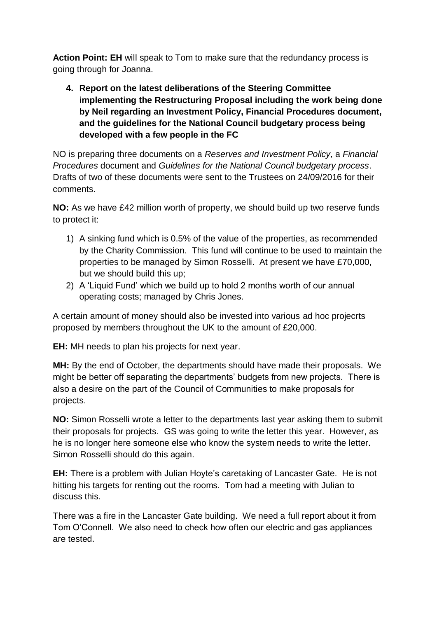**Action Point: EH** will speak to Tom to make sure that the redundancy process is going through for Joanna.

**4. Report on the latest deliberations of the Steering Committee implementing the Restructuring Proposal including the work being done by Neil regarding an Investment Policy, Financial Procedures document, and the guidelines for the National Council budgetary process being developed with a few people in the FC**

NO is preparing three documents on a *Reserves and Investment Policy*, a *Financial Procedures* document and *Guidelines for the National Council budgetary process*. Drafts of two of these documents were sent to the Trustees on 24/09/2016 for their comments.

**NO:** As we have £42 million worth of property, we should build up two reserve funds to protect it:

- 1) A sinking fund which is 0.5% of the value of the properties, as recommended by the Charity Commission. This fund will continue to be used to maintain the properties to be managed by Simon Rosselli. At present we have £70,000, but we should build this up;
- 2) A 'Liquid Fund' which we build up to hold 2 months worth of our annual operating costs; managed by Chris Jones.

A certain amount of money should also be invested into various ad hoc projecrts proposed by members throughout the UK to the amount of £20,000.

**EH:** MH needs to plan his projects for next year.

**MH:** By the end of October, the departments should have made their proposals. We might be better off separating the departments' budgets from new projects. There is also a desire on the part of the Council of Communities to make proposals for projects.

**NO:** Simon Rosselli wrote a letter to the departments last year asking them to submit their proposals for projects. GS was going to write the letter this year. However, as he is no longer here someone else who know the system needs to write the letter. Simon Rosselli should do this again.

**EH:** There is a problem with Julian Hoyte's caretaking of Lancaster Gate. He is not hitting his targets for renting out the rooms. Tom had a meeting with Julian to discuss this.

There was a fire in the Lancaster Gate building. We need a full report about it from Tom O'Connell. We also need to check how often our electric and gas appliances are tested.